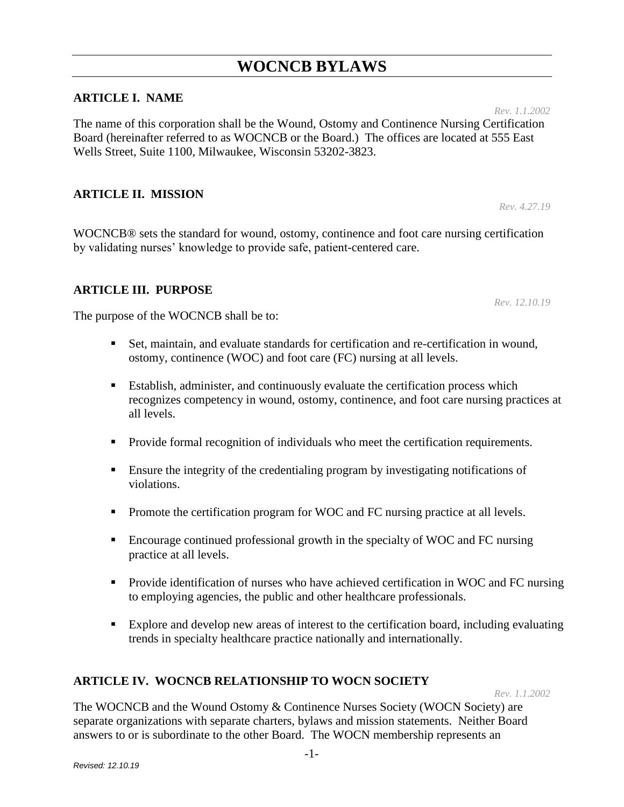# **ARTICLE I. NAME**

The name of this corporation shall be the Wound, Ostomy and Continence Nursing Certification Board (hereinafter referred to as WOCNCB or the Board.) The offices are located at 555 East Wells Street, Suite 1100, Milwaukee, Wisconsin 53202-3823.

# **ARTICLE II. MISSION**

WOCNCB® sets the standard for wound, ostomy, continence and foot care nursing certification by validating nurses' knowledge to provide safe, patient-centered care.

### **ARTICLE III. PURPOSE**

The purpose of the WOCNCB shall be to:

- Set, maintain, and evaluate standards for certification and re-certification in wound, ostomy, continence (WOC) and foot care (FC) nursing at all levels.
- Establish, administer, and continuously evaluate the certification process which recognizes competency in wound, ostomy, continence, and foot care nursing practices at all levels.
- **Provide formal recognition of individuals who meet the certification requirements.**
- Ensure the integrity of the credentialing program by investigating notifications of violations.
- Promote the certification program for WOC and FC nursing practice at all levels.
- Encourage continued professional growth in the specialty of WOC and FC nursing practice at all levels.
- **Provide identification of nurses who have achieved certification in WOC and FC nursing** to employing agencies, the public and other healthcare professionals.
- Explore and develop new areas of interest to the certification board, including evaluating trends in specialty healthcare practice nationally and internationally.

### **ARTICLE IV. WOCNCB RELATIONSHIP TO WOCN SOCIETY**

*Rev. 1.1.2002*

The WOCNCB and the Wound Ostomy & Continence Nurses Society (WOCN Society) are separate organizations with separate charters, bylaws and mission statements. Neither Board answers to or is subordinate to the other Board. The WOCN membership represents an

*Rev. 4.27.19*

*Rev. 12.10.19*

*Rev. 1.1.2002*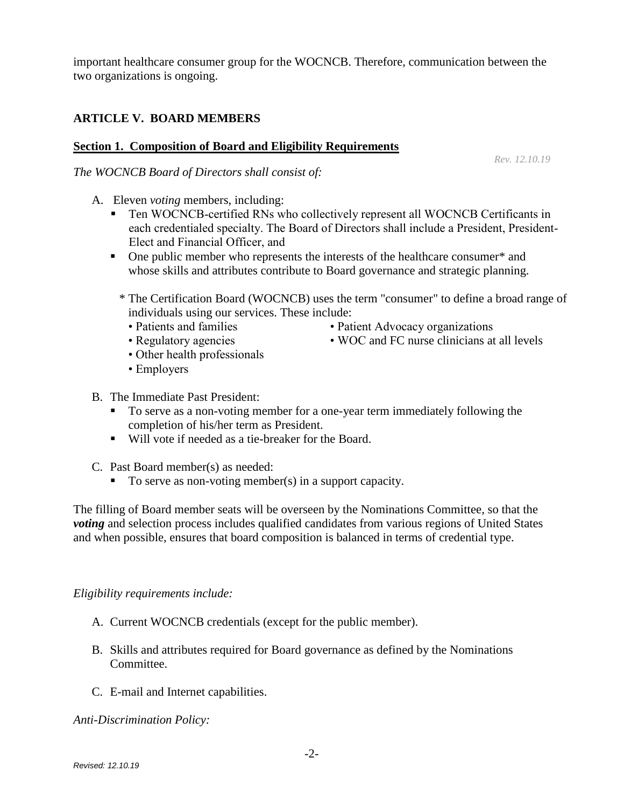important healthcare consumer group for the WOCNCB. Therefore, communication between the two organizations is ongoing.

# **ARTICLE V. BOARD MEMBERS**

# **Section 1. Composition of Board and Eligibility Requirements**

*The WOCNCB Board of Directors shall consist of:*

- A. Eleven *voting* members, including:
	- Ten WOCNCB-certified RNs who collectively represent all WOCNCB Certificants in each credentialed specialty. The Board of Directors shall include a President, President-Elect and Financial Officer, and
	- One public member who represents the interests of the healthcare consumer\* and whose skills and attributes contribute to Board governance and strategic planning.
		- \* The Certification Board (WOCNCB) uses the term "consumer" to define a broad range of individuals using our services. These include:
			- Patients and families Patient Advocacy organizations
			-
			- Other health professionals
			- Employers
- B. The Immediate Past President:
	- To serve as a non-voting member for a one-year term immediately following the completion of his/her term as President.
	- Will vote if needed as a tie-breaker for the Board.
- C. Past Board member(s) as needed:
	- $\blacksquare$  To serve as non-voting member(s) in a support capacity.

The filling of Board member seats will be overseen by the Nominations Committee, so that the *voting* and selection process includes qualified candidates from various regions of United States and when possible, ensures that board composition is balanced in terms of credential type.

# *Eligibility requirements include:*

- A. Current WOCNCB credentials (except for the public member).
- B. Skills and attributes required for Board governance as defined by the Nominations Committee.
- C. E-mail and Internet capabilities.

*Anti-Discrimination Policy:*

*Rev. 12.10.19*

• Regulatory agencies • WOC and FC nurse clinicians at all levels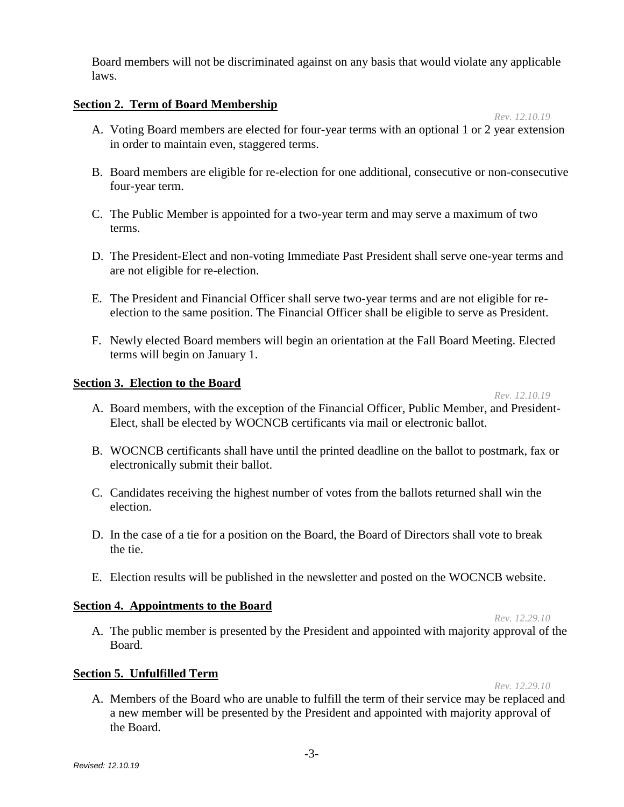Board members will not be discriminated against on any basis that would violate any applicable laws.

# **Section 2. Term of Board Membership**

- A. Voting Board members are elected for four-year terms with an optional 1 or 2 year extension in order to maintain even, staggered terms.
- B. Board members are eligible for re-election for one additional, consecutive or non-consecutive four-year term.
- C. The Public Member is appointed for a two-year term and may serve a maximum of two terms.
- D. The President-Elect and non-voting Immediate Past President shall serve one-year terms and are not eligible for re-election.
- E. The President and Financial Officer shall serve two-year terms and are not eligible for reelection to the same position. The Financial Officer shall be eligible to serve as President.
- F. Newly elected Board members will begin an orientation at the Fall Board Meeting. Elected terms will begin on January 1.

# **Section 3. Election to the Board**

#### *Rev. 12.10.19*

*Rev. 12.10.19*

- A. Board members, with the exception of the Financial Officer, Public Member, and President-Elect, shall be elected by WOCNCB certificants via mail or electronic ballot.
- B. WOCNCB certificants shall have until the printed deadline on the ballot to postmark, fax or electronically submit their ballot.
- C. Candidates receiving the highest number of votes from the ballots returned shall win the election.
- D. In the case of a tie for a position on the Board, the Board of Directors shall vote to break the tie.
- E. Election results will be published in the newsletter and posted on the WOCNCB website.

# **Section 4. Appointments to the Board**

*Rev. 12.29.10*

A. The public member is presented by the President and appointed with majority approval of the Board.

### **Section 5. Unfulfilled Term**

*Rev. 12.29.10*

A. Members of the Board who are unable to fulfill the term of their service may be replaced and a new member will be presented by the President and appointed with majority approval of the Board.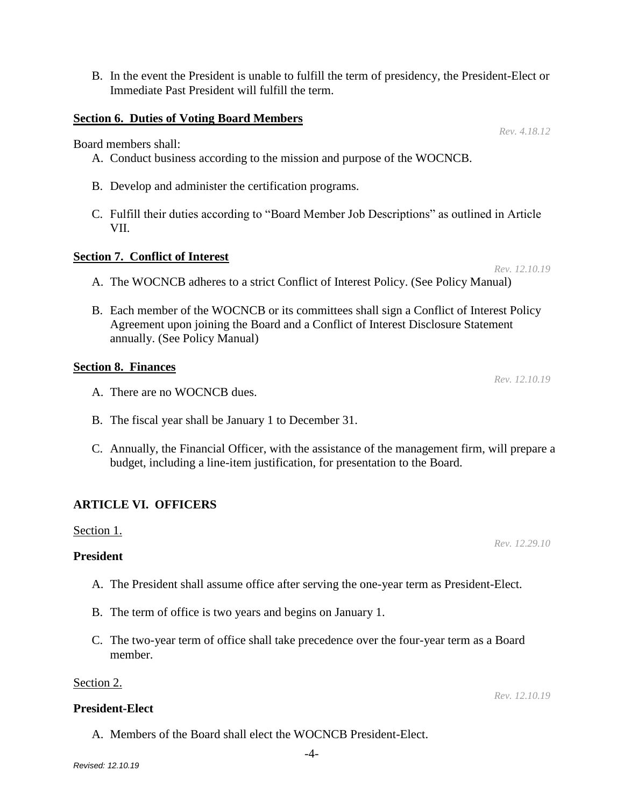- 
- *Revised: 12.10.19*

B. In the event the President is unable to fulfill the term of presidency, the President-Elect or Immediate Past President will fulfill the term.

#### **Section 6. Duties of Voting Board Members**

Board members shall:

- A. Conduct business according to the mission and purpose of the WOCNCB.
- B. Develop and administer the certification programs.
- C. Fulfill their duties according to "Board Member Job Descriptions" as outlined in Article VII.

#### **Section 7. Conflict of Interest**

- A. The WOCNCB adheres to a strict Conflict of Interest Policy. (See Policy Manual)
- B. Each member of the WOCNCB or its committees shall sign a Conflict of Interest Policy Agreement upon joining the Board and a Conflict of Interest Disclosure Statement annually. (See Policy Manual)

#### **Section 8. Finances**

- A. There are no WOCNCB dues.
- B. The fiscal year shall be January 1 to December 31.
- C. Annually, the Financial Officer, with the assistance of the management firm, will prepare a budget, including a line-item justification, for presentation to the Board.

### **ARTICLE VI. OFFICERS**

#### Section 1.

#### **President**

- A. The President shall assume office after serving the one-year term as President-Elect.
- B. The term of office is two years and begins on January 1.

A. Members of the Board shall elect the WOCNCB President-Elect.

C. The two-year term of office shall take precedence over the four-year term as a Board member.

#### Section 2.

# **President-Elect**

*Rev. 12.10.19*

*Rev. 12.10.19*

*Rev. 12.10.19*

*Rev. 4.18.12*

*Rev. 12.29.10*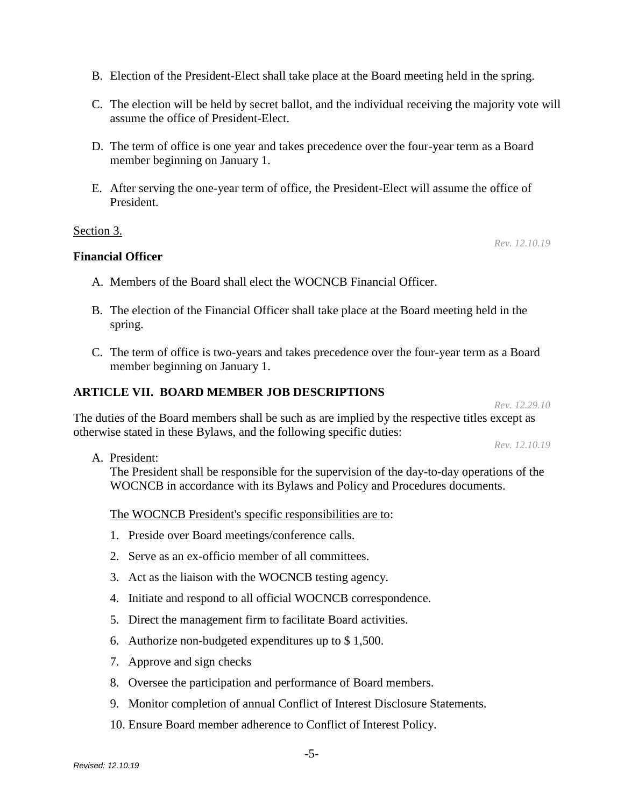B. Election of the President-Elect shall take place at the Board meeting held in the spring.

- C. The election will be held by secret ballot, and the individual receiving the majority vote will assume the office of President-Elect.
- D. The term of office is one year and takes precedence over the four-year term as a Board member beginning on January 1.
- E. After serving the one-year term of office, the President-Elect will assume the office of President.

# Section 3.

# **Financial Officer**

- A. Members of the Board shall elect the WOCNCB Financial Officer.
- B. The election of the Financial Officer shall take place at the Board meeting held in the spring.
- C. The term of office is two-years and takes precedence over the four-year term as a Board member beginning on January 1.

# **ARTICLE VII. BOARD MEMBER JOB DESCRIPTIONS**

*Rev. 12.29.10*

*Rev. 12.10.19*

The duties of the Board members shall be such as are implied by the respective titles except as otherwise stated in these Bylaws, and the following specific duties:

*Rev. 12.10.19*

A. President:

The President shall be responsible for the supervision of the day-to-day operations of the WOCNCB in accordance with its Bylaws and Policy and Procedures documents.

The WOCNCB President's specific responsibilities are to:

- 1. Preside over Board meetings/conference calls.
- 2. Serve as an ex-officio member of all committees.
- 3. Act as the liaison with the WOCNCB testing agency.
- 4. Initiate and respond to all official WOCNCB correspondence.
- 5. Direct the management firm to facilitate Board activities.
- 6. Authorize non-budgeted expenditures up to \$ 1,500.
- 7. Approve and sign checks
- 8. Oversee the participation and performance of Board members.
- 9. Monitor completion of annual Conflict of Interest Disclosure Statements.
- 10. Ensure Board member adherence to Conflict of Interest Policy.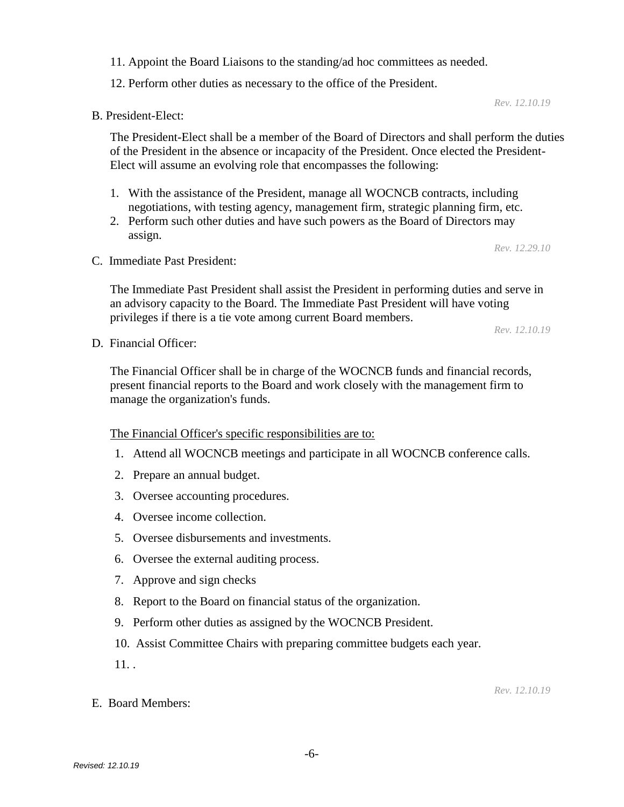11. Appoint the Board Liaisons to the standing/ad hoc committees as needed.

12. Perform other duties as necessary to the office of the President.

B. President-Elect:

The President-Elect shall be a member of the Board of Directors and shall perform the duties of the President in the absence or incapacity of the President. Once elected the President-Elect will assume an evolving role that encompasses the following:

- 1. With the assistance of the President, manage all WOCNCB contracts, including negotiations, with testing agency, management firm, strategic planning firm, etc.
- 2. Perform such other duties and have such powers as the Board of Directors may assign.

*Rev. 12.29.10*

*Rev. 12.10.19*

C. Immediate Past President:

The Immediate Past President shall assist the President in performing duties and serve in an advisory capacity to the Board. The Immediate Past President will have voting privileges if there is a tie vote among current Board members.

*Rev. 12.10.19*

D. Financial Officer:

The Financial Officer shall be in charge of the WOCNCB funds and financial records, present financial reports to the Board and work closely with the management firm to manage the organization's funds.

The Financial Officer's specific responsibilities are to:

- 1. Attend all WOCNCB meetings and participate in all WOCNCB conference calls.
- 2. Prepare an annual budget.
- 3. Oversee accounting procedures.
- 4. Oversee income collection.
- 5. Oversee disbursements and investments.
- 6. Oversee the external auditing process.
- 7. Approve and sign checks
- 8. Report to the Board on financial status of the organization.
- 9. Perform other duties as assigned by the WOCNCB President.
- 10. Assist Committee Chairs with preparing committee budgets each year.

 $11.$ .

E. Board Members:

*Rev. 12.10.19*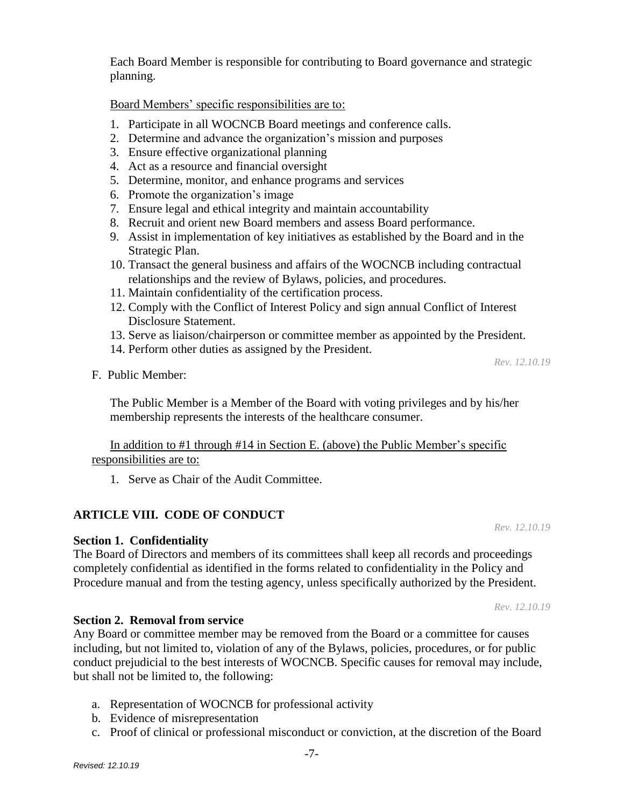Each Board Member is responsible for contributing to Board governance and strategic planning.

Board Members' specific responsibilities are to:

- 1. Participate in all WOCNCB Board meetings and conference calls.
- 2. Determine and advance the organization's mission and purposes
- 3. Ensure effective organizational planning
- 4. Act as a resource and financial oversight
- 5. Determine, monitor, and enhance programs and services
- 6. Promote the organization's image
- 7. Ensure legal and ethical integrity and maintain accountability
- 8. Recruit and orient new Board members and assess Board performance.
- 9. Assist in implementation of key initiatives as established by the Board and in the Strategic Plan.
- 10. Transact the general business and affairs of the WOCNCB including contractual relationships and the review of Bylaws, policies, and procedures.
- 11. Maintain confidentiality of the certification process.
- 12. Comply with the Conflict of Interest Policy and sign annual Conflict of Interest Disclosure Statement.
- 13. Serve as liaison/chairperson or committee member as appointed by the President.
- 14. Perform other duties as assigned by the President.

*Rev. 12.10.19*

F. Public Member:

The Public Member is a Member of the Board with voting privileges and by his/her membership represents the interests of the healthcare consumer.

# In addition to #1 through #14 in Section E. (above) the Public Member's specific responsibilities are to:

1. Serve as Chair of the Audit Committee.

# **ARTICLE VIII. CODE OF CONDUCT**

**Section 1. Confidentiality**

The Board of Directors and members of its committees shall keep all records and proceedings completely confidential as identified in the forms related to confidentiality in the Policy and Procedure manual and from the testing agency, unless specifically authorized by the President.

*Rev. 12.10.19*

*Rev. 12.10.19*

### **Section 2. Removal from service**

Any Board or committee member may be removed from the Board or a committee for causes including, but not limited to, violation of any of the Bylaws, policies, procedures, or for public conduct prejudicial to the best interests of WOCNCB. Specific causes for removal may include, but shall not be limited to, the following:

- a. Representation of WOCNCB for professional activity
- b. Evidence of misrepresentation
- c. Proof of clinical or professional misconduct or conviction, at the discretion of the Board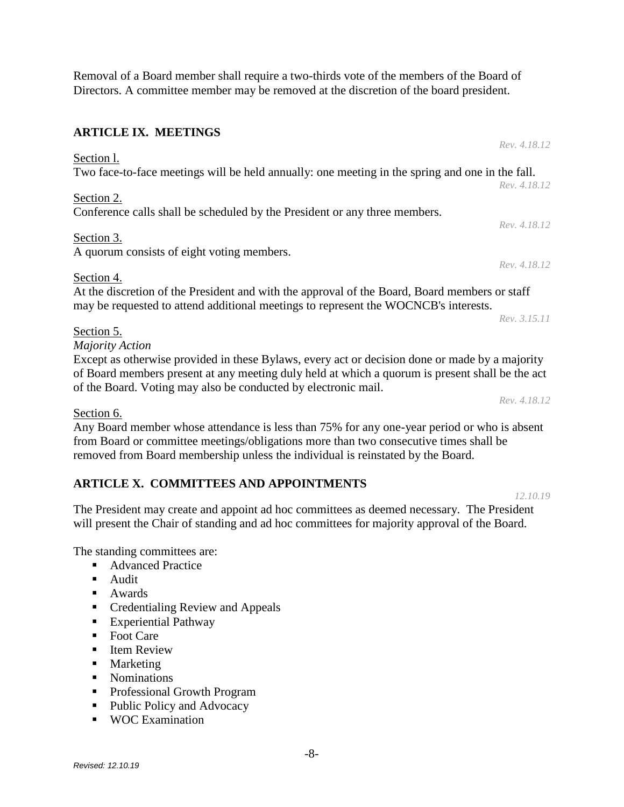Removal of a Board member shall require a two-thirds vote of the members of the Board of Directors. A committee member may be removed at the discretion of the board president.

### **ARTICLE IX. MEETINGS**

Two face-to-face meetings will be held annually: one meeting in the spring and one in the fall. *Rev. 4.18.12* Section 2.

Conference calls shall be scheduled by the President or any three members.

### Section 3.

Section l.

A quorum consists of eight voting members.

Section 4.

At the discretion of the President and with the approval of the Board, Board members or staff may be requested to attend additional meetings to represent the WOCNCB's interests.

*Rev. 3.15.11*

# Section 5.

*Majority Action*

Except as otherwise provided in these Bylaws, every act or decision done or made by a majority of Board members present at any meeting duly held at which a quorum is present shall be the act of the Board. Voting may also be conducted by electronic mail.

### Section 6.

Any Board member whose attendance is less than 75% for any one-year period or who is absent from Board or committee meetings/obligations more than two consecutive times shall be removed from Board membership unless the individual is reinstated by the Board.

# **ARTICLE X. COMMITTEES AND APPOINTMENTS**

The President may create and appoint ad hoc committees as deemed necessary. The President will present the Chair of standing and ad hoc committees for majority approval of the Board.

The standing committees are:

- Advanced Practice
- **Audit**
- **Awards**
- Credentialing Review and Appeals
- **Experiential Pathway**
- $\blacksquare$  Foot Care
- **Item Review**
- **Marketing**
- Nominations
- **Professional Growth Program**
- Public Policy and Advocacy
- WOC Examination

*Rev. 4.18.12*

*Rev. 4.18.12*

*Rev. 4.18.12*

*Rev. 4.18.12*

*12.10.19*